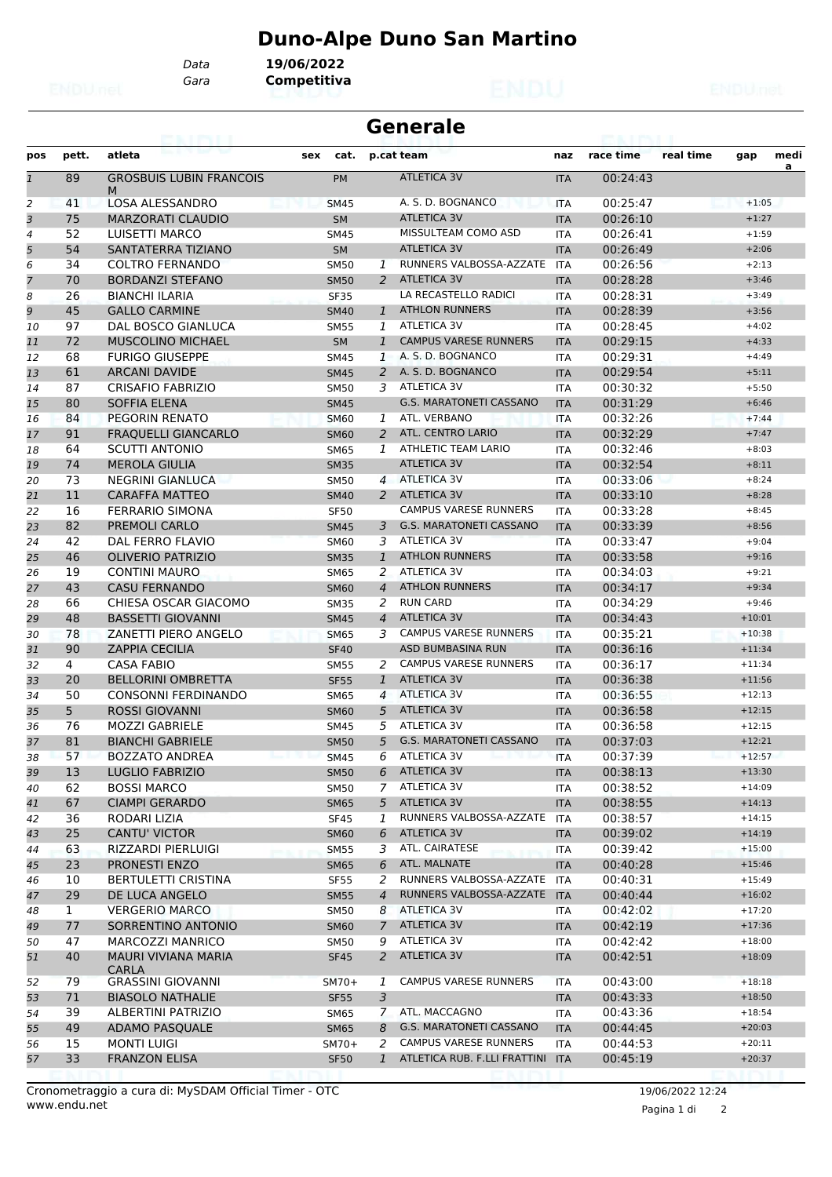## **Duno-Alpe Duno San Martino**

*Data* **19/06/2022**

*Gara* **Competitiva**

| <b>Generale</b><br><b>ERAN BURNER B</b> |          |                                                |                            |                |                                |                          |                      |           |                      |           |
|-----------------------------------------|----------|------------------------------------------------|----------------------------|----------------|--------------------------------|--------------------------|----------------------|-----------|----------------------|-----------|
| pos                                     | pett.    | atleta                                         | cat.<br>sex                |                | p.cat team                     | naz                      | race time            | real time | gap                  | medi<br>a |
| $\overline{1}$                          | 89       | <b>GROSBUIS LUBIN FRANCOIS</b><br>M            | <b>PM</b>                  |                | <b>ATLETICA 3V</b>             | <b>ITA</b>               | 00:24:43             |           |                      |           |
| 2                                       | 41       | <b>LOSA ALESSANDRO</b>                         | <b>SM45</b>                |                | A. S. D. BOGNANCO              | <b>ITA</b>               | 00:25:47             |           | $+1:05$              |           |
| 3                                       | 75       | <b>MARZORATI CLAUDIO</b>                       | <b>SM</b>                  |                | <b>ATLETICA 3V</b>             | <b>ITA</b>               | 00:26:10             |           | $+1:27$              |           |
| 4                                       | 52       | LUISETTI MARCO                                 | <b>SM45</b>                |                | MISSULTEAM COMO ASD            | <b>ITA</b>               | 00:26:41             |           | $+1:59$              |           |
| 5                                       | 54       | SANTATERRA TIZIANO                             | <b>SM</b>                  |                | <b>ATLETICA 3V</b>             | <b>ITA</b>               | 00:26:49             |           | $+2:06$              |           |
| 6                                       | 34       | <b>COLTRO FERNANDO</b>                         | <b>SM50</b>                | 1              | RUNNERS VALBOSSA-AZZATE        | <b>ITA</b>               | 00:26:56             |           | $+2:13$              |           |
| $\overline{7}$                          | 70       | <b>BORDANZI STEFANO</b>                        | <b>SM50</b>                | 2              | <b>ATLETICA 3V</b>             | <b>ITA</b>               | 00:28:28             |           | $+3:46$              |           |
| 8                                       | 26       | <b>BIANCHI ILARIA</b>                          | <b>SF35</b>                |                | LA RECASTELLO RADICI           | <b>ITA</b>               | 00:28:31             |           | $+3:49$              |           |
| 9                                       | 45       | <b>GALLO CARMINE</b>                           | <b>SM40</b>                | $\mathbf{1}$   | <b>ATHLON RUNNERS</b>          | <b>ITA</b>               | 00:28:39             |           | $+3:56$              |           |
| 10                                      | 97       | <b>DAL BOSCO GIANLUCA</b>                      | <b>SM55</b>                | $\mathbf{1}$   | ATLETICA 3V                    | <b>ITA</b>               | 00:28:45             |           | $+4:02$              |           |
| 11                                      | 72       | <b>MUSCOLINO MICHAEL</b>                       | <b>SM</b>                  | $\mathbf{1}$   | <b>CAMPUS VARESE RUNNERS</b>   | <b>ITA</b>               | 00:29:15             |           | $+4:33$              |           |
| 12                                      | 68       | <b>FURIGO GIUSEPPE</b>                         | <b>SM45</b>                | 1              | A. S. D. BOGNANCO              | <b>ITA</b>               | 00:29:31             |           | $+4:49$              |           |
| 13                                      | 61       | <b>ARCANI DAVIDE</b>                           | <b>SM45</b>                | 2              | A. S. D. BOGNANCO              | <b>ITA</b>               | 00:29:54             |           | $+5:11$              |           |
| 14                                      | 87       | <b>CRISAFIO FABRIZIO</b>                       | <b>SM50</b>                | 3              | ATLETICA 3V                    | <b>ITA</b>               | 00:30:32             |           | $+5:50$              |           |
| 15                                      | 80       | <b>SOFFIA ELENA</b>                            |                            |                | <b>G.S. MARATONETI CASSANO</b> | <b>ITA</b>               | 00:31:29             |           | $+6:46$              |           |
|                                         | 84       | PEGORIN RENATO                                 | <b>SM45</b>                | 1              | ATL. VERBANO                   |                          | 00:32:26             |           | $+7:44$              |           |
| 16<br>17                                | 91       | <b>FRAQUELLI GIANCARLO</b>                     | <b>SM60</b>                | 2              | <b>ATL. CENTRO LARIO</b>       | <b>ITA</b><br><b>ITA</b> | 00:32:29             |           |                      |           |
|                                         |          |                                                | <b>SM60</b>                |                | <b>ATHLETIC TEAM LARIO</b>     |                          |                      |           | $+7:47$<br>$+8:03$   |           |
| 18                                      | 64       | <b>SCUTTI ANTONIO</b>                          | <b>SM65</b>                | 1              | <b>ATLETICA 3V</b>             | <b>ITA</b>               | 00:32:46             |           |                      |           |
| 19                                      | 74       | <b>MEROLA GIULIA</b>                           | <b>SM35</b>                |                |                                | <b>ITA</b>               | 00:32:54             |           | $+8:11$              |           |
| 20                                      | 73       | NEGRINI GIANLUCA                               | <b>SM50</b>                |                | 4 ATLETICA 3V                  | <b>ITA</b>               | 00:33:06             |           | $+8:24$              |           |
| 21                                      | 11       | <b>CARAFFA MATTEO</b>                          | <b>SM40</b>                |                | 2 ATLETICA 3V                  | <b>ITA</b>               | 00:33:10             |           | $+8:28$              |           |
| 22                                      | 16       | <b>FERRARIO SIMONA</b>                         | <b>SF50</b>                |                | <b>CAMPUS VARESE RUNNERS</b>   | <b>ITA</b>               | 00:33:28             |           | $+8:45$              |           |
| 23                                      | 82       | PREMOLI CARLO                                  | <b>SM45</b>                | 3              | <b>G.S. MARATONETI CASSANO</b> | <b>ITA</b>               | 00:33:39             |           | $+8:56$              |           |
| 24                                      | 42       | DAL FERRO FLAVIO                               | <b>SM60</b>                | 3              | <b>ATLETICA 3V</b>             | <b>ITA</b>               | 00:33:47             |           | $+9:04$              |           |
| 25                                      | 46       | <b>OLIVERIO PATRIZIO</b>                       | <b>SM35</b>                | $\mathbf{1}$   | <b>ATHLON RUNNERS</b>          | <b>ITA</b>               | 00:33:58             |           | $+9:16$              |           |
| 26                                      | 19       | <b>CONTINI MAURO</b>                           | <b>SM65</b>                | 2              | <b>ATLETICA 3V</b>             | <b>ITA</b>               | 00:34:03             |           | $+9:21$              |           |
| 27                                      | 43       | <b>CASU FERNANDO</b>                           | <b>SM60</b>                | $\overline{4}$ | <b>ATHLON RUNNERS</b>          | <b>ITA</b>               | 00:34:17             |           | $+9:34$              |           |
| 28                                      | 66       | CHIESA OSCAR GIACOMO                           | <b>SM35</b>                | 2              | <b>RUN CARD</b>                | ITA                      | 00:34:29             |           | $+9:46$              |           |
| 29                                      | 48       | <b>BASSETTI GIOVANNI</b>                       | <b>SM45</b>                | $\overline{4}$ | <b>ATLETICA 3V</b>             | <b>ITA</b>               | 00:34:43             |           | $+10:01$             |           |
| 30                                      | 78       | ZANETTI PIERO ANGELO                           | <b>SM65</b>                | 3              | <b>CAMPUS VARESE RUNNERS</b>   | <b>ITA</b>               | 00:35:21             |           | $+10:38$             |           |
| 31                                      | 90       | <b>ZAPPIA CECILIA</b>                          | <b>SF40</b>                |                | <b>ASD BUMBASINA RUN</b>       | <b>ITA</b>               | 00:36:16             |           | $+11:34$             |           |
| 32                                      | 4        | <b>CASA FABIO</b>                              | <b>SM55</b>                | 2              | <b>CAMPUS VARESE RUNNERS</b>   | <b>ITA</b>               | 00:36:17             |           | $+11:34$             |           |
| 33                                      | 20       | <b>BELLORINI OMBRETTA</b>                      | <b>SF55</b>                | $\mathbf{1}$   | <b>ATLETICA 3V</b>             | <b>ITA</b>               | 00:36:38             |           | $+11:56$             |           |
| 34                                      | 50       | <b>CONSONNI FERDINANDO</b>                     | <b>SM65</b>                | $\overline{4}$ | <b>ATLETICA 3V</b>             | ITA                      | 00:36:55             |           | $+12:13$             |           |
| 35                                      | 5        | <b>ROSSI GIOVANNI</b>                          | <b>SM60</b>                | 5              | <b>ATLETICA 3V</b>             | <b>ITA</b>               | 00:36:58             |           | $+12:15$             |           |
| 36                                      | 76       | <b>MOZZI GABRIELE</b>                          | <b>SM45</b>                | 5              | <b>ATLETICA 3V</b>             | <b>ITA</b>               | 00:36:58             |           | $+12:15$             |           |
| 37                                      | 81       | <b>BIANCHI GABRIELE</b>                        | <b>SM50</b>                | 5              | G.S. MARATONETI CASSANO        | <b>ITA</b>               | 00:37:03             |           | $+12:21$             |           |
| 38                                      | 57       | <b>BOZZATO ANDREA</b>                          | <b>SM45</b>                |                | 6 ATLETICA 3V                  | ITA                      | 00:37:39             |           | $+12:57$             |           |
| 39                                      | 13       | <b>LUGLIO FABRIZIO</b>                         | <b>SM50</b>                | 6              | ATLETICA 3V                    | <b>ITA</b>               | 00:38:13             |           | $+13:30$             |           |
| 40                                      | 62       | <b>BOSSI MARCO</b>                             | <b>SM50</b>                |                | 7 ATLETICA 3V                  | ITA                      | 00:38:52             |           | $+14:09$             |           |
| 41                                      | 67       | <b>CIAMPI GERARDO</b>                          | <b>SM65</b>                | 5              | ATLETICA 3V                    | <b>ITA</b>               | 00:38:55             |           | $+14:13$             |           |
| 42                                      | 36       | RODARI LIZIA                                   | SF45                       | 1              | RUNNERS VALBOSSA-AZZATE        | ITA                      | 00:38:57             |           | $+14:15$             |           |
| 43                                      | 25       | CANTU' VICTOR                                  | <b>SM60</b>                | 6              | ATLETICA 3V                    | <b>ITA</b>               | 00:39:02             |           | $+14:19$             |           |
| 44                                      | 63       | RIZZARDI PIERLUIGI                             | <b>SM55</b>                | 3              | ATL. CAIRATESE                 | ITA                      | 00:39:42             |           | $+15:00$             |           |
| 45                                      | 23       | PRONESTI ENZO                                  | <b>SM65</b>                | 6              | ATL. MALNATE                   | <b>ITA</b>               | 00:40:28             |           | $+15:46$             |           |
| 46                                      | 10       | <b>BERTULETTI CRISTINA</b>                     | SF55                       | 2              | RUNNERS VALBOSSA-AZZATE ITA    |                          | 00:40:31             |           | $+15:49$             |           |
|                                         | 29       | DE LUCA ANGELO                                 |                            | $\overline{4}$ | RUNNERS VALBOSSA-AZZATE        | <b>ITA</b>               | 00:40:44             |           | $+16:02$             |           |
| 47                                      |          | <b>VERGERIO MARCO</b>                          | <b>SM55</b>                | 8              | <b>ATLETICA 3V</b>             |                          | 00:42:02             |           | $+17:20$             |           |
| 48                                      | 1        |                                                | SM50                       |                |                                | <b>ITA</b>               |                      |           |                      |           |
| 49                                      | 77       | SORRENTINO ANTONIO                             | <b>SM60</b>                | 7              | ATLETICA 3V                    | <b>ITA</b>               | 00:42:19             |           | $+17:36$             |           |
| 50<br>51                                | 47<br>40 | MARCOZZI MANRICO<br><b>MAURI VIVIANA MARIA</b> | <b>SM50</b><br><b>SF45</b> | 9<br>2         | ATLETICA 3V<br>ATLETICA 3V     | ITA<br><b>ITA</b>        | 00:42:42<br>00:42:51 |           | $+18:00$<br>$+18:09$ |           |
|                                         |          | <b>CARLA</b>                                   |                            |                | <b>CAMPUS VARESE RUNNERS</b>   |                          |                      |           |                      |           |
| 52                                      | 79       | <b>GRASSINI GIOVANNI</b>                       | SM70+                      | 1              |                                | <b>ITA</b>               | 00:43:00             |           | $+18:18$             |           |
| 53                                      | 71       | <b>BIASOLO NATHALIE</b>                        | <b>SF55</b>                | $\overline{3}$ |                                | <b>ITA</b>               | 00:43:33             |           | $+18:50$             |           |
| 54                                      | 39       | ALBERTINI PATRIZIO                             | <b>SM65</b>                | $\mathcal{I}$  | ATL. MACCAGNO                  | ITA                      | 00:43:36             |           | $+18:54$             |           |
| 55                                      | 49       | <b>ADAMO PASQUALE</b>                          | <b>SM65</b>                | 8              | <b>G.S. MARATONETI CASSANO</b> | <b>ITA</b>               | 00:44:45             |           | $+20:03$             |           |
| 56                                      | 15       | <b>MONTI LUIGI</b>                             | SM70+                      | 2              | <b>CAMPUS VARESE RUNNERS</b>   | ITA                      | 00:44:53             |           | $+20:11$             |           |
| 57                                      | 33       | <b>FRANZON ELISA</b>                           | <b>SF50</b>                | 1              | ATLETICA RUB. F.LLI FRATTINI   | <b>ITA</b>               | 00:45:19             |           | $+20:37$             |           |

Pagina 1 di 2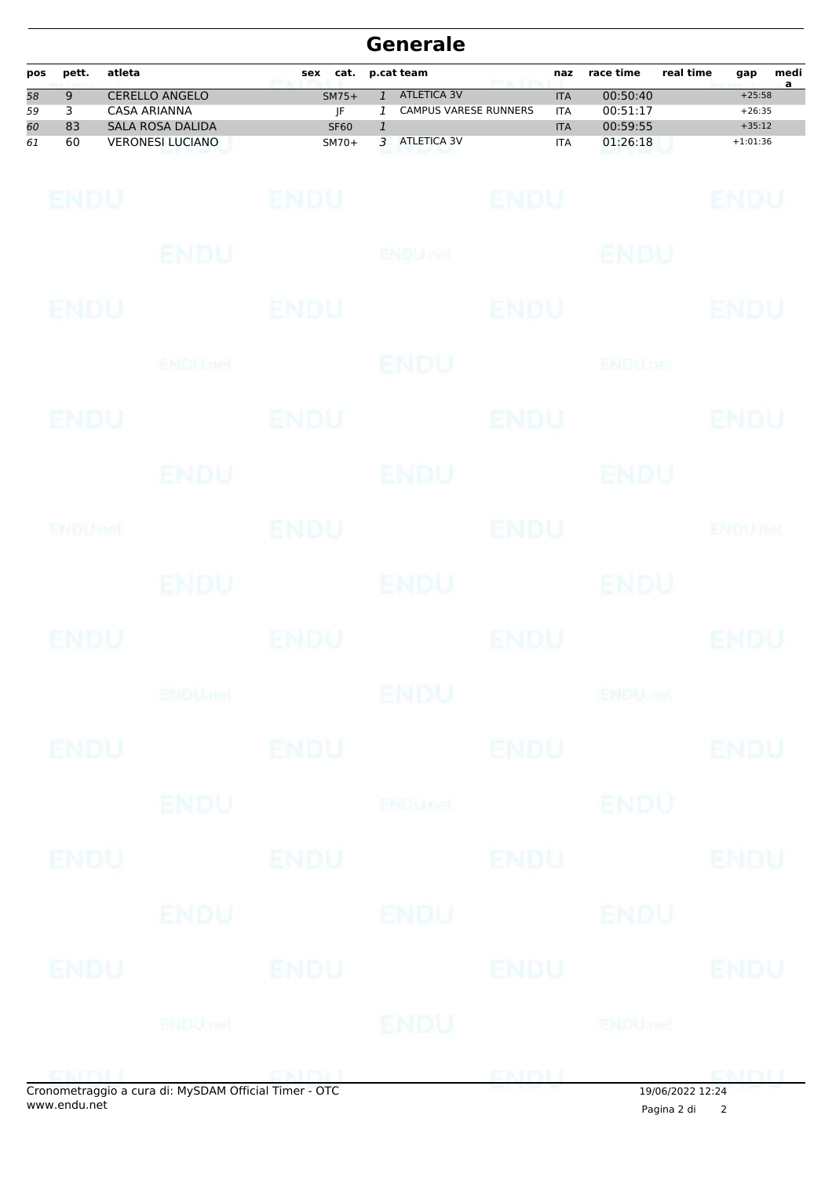|                       | <b>Generale</b> |                     |                                                    |                        |                                               |                                                    |                |                          |                            |           |                        |                        |
|-----------------------|-----------------|---------------------|----------------------------------------------------|------------------------|-----------------------------------------------|----------------------------------------------------|----------------|--------------------------|----------------------------|-----------|------------------------|------------------------|
| pos                   | pett.           | atleta              |                                                    | sex<br>cat.            |                                               | p.cat team                                         | per sur l'orig | naz                      | race time                  | real time | gap                    | medi<br>$\overline{a}$ |
| $\overline{58}$<br>59 | 9<br>3          | <b>CASA ARIANNA</b> | <b>CERELLO ANGELO</b>                              | $SM75+$<br>JF          | $\mathbf{1}$<br>1                             | <b>ATLETICA 3V</b><br><b>CAMPUS VARESE RUNNERS</b> |                | <b>ITA</b><br><b>ITA</b> | 00:50:40<br>00:51:17       |           | $+25:58$<br>$+26:35$   |                        |
| 60<br>61              | 83<br>60        |                     | <b>SALA ROSA DALIDA</b><br><b>VERONESI LUCIANO</b> | <b>SF60</b><br>$SM70+$ | $\ensuremath{\mathfrak{1}}$<br>$\overline{3}$ | <b>ATLETICA 3V</b>                                 |                | <b>ITA</b><br><b>ITA</b> | 00:59:55<br>01:26:18       |           | $+35:12$<br>$+1:01:36$ |                        |
|                       |                 |                     |                                                    |                        |                                               |                                                    |                |                          |                            |           |                        |                        |
|                       | ENDU            |                     |                                                    | <b>ENDU</b>            |                                               |                                                    | <b>ENDU</b>    |                          |                            |           | ENDU                   |                        |
|                       |                 |                     |                                                    |                        |                                               |                                                    |                |                          |                            |           |                        |                        |
|                       |                 |                     | ENDU                                               |                        |                                               | <b>ENDULfet</b>                                    |                |                          | <b>ENDU</b>                |           |                        |                        |
|                       |                 |                     |                                                    |                        |                                               |                                                    |                |                          |                            |           |                        |                        |
|                       | ENDU            |                     |                                                    | ENDU                   |                                               |                                                    | ENDU           |                          |                            |           | ENDU                   |                        |
|                       |                 |                     | <b>ENDU</b> .net                                   |                        |                                               | ENDU                                               |                |                          | <b>ENDUnet</b>             |           |                        |                        |
|                       |                 |                     |                                                    |                        |                                               |                                                    |                |                          |                            |           |                        |                        |
|                       | ENDU            |                     |                                                    | ENDU                   |                                               |                                                    | <b>ENDU</b>    |                          |                            |           | ENDU                   |                        |
|                       |                 |                     |                                                    |                        |                                               |                                                    |                |                          |                            |           |                        |                        |
|                       |                 |                     | ENDU                                               |                        |                                               | <b>ENDU</b>                                        |                |                          | ENDU                       |           |                        |                        |
|                       | ENDUMet         |                     |                                                    | <b>ENDU</b>            |                                               |                                                    | ENDU           |                          |                            |           | ENDUnet                |                        |
|                       |                 |                     |                                                    |                        |                                               |                                                    |                |                          |                            |           |                        |                        |
|                       |                 |                     | ENDU.                                              |                        |                                               | <b>ENDU</b>                                        |                |                          | <b>ENDU</b>                |           |                        |                        |
|                       |                 |                     |                                                    |                        |                                               |                                                    |                |                          |                            |           |                        |                        |
|                       | ENDU            |                     |                                                    | ENDU                   |                                               |                                                    | ENDU           |                          |                            |           | ENDU                   |                        |
|                       |                 |                     | <b>ENDU<sub>met</sub></b>                          |                        |                                               | ENDU                                               |                |                          | <b>ENDU<sub>FIEL</sub></b> |           |                        |                        |
|                       |                 |                     |                                                    |                        |                                               |                                                    |                |                          |                            |           |                        |                        |
|                       | <b>ENDU</b>     |                     |                                                    | <b>ENDU</b>            |                                               |                                                    | <b>ENDU</b>    |                          |                            |           | <b>ENDU</b>            |                        |
|                       |                 |                     |                                                    |                        |                                               |                                                    |                |                          |                            |           |                        |                        |
|                       |                 |                     | <b>ENDU</b>                                        |                        |                                               | <b>ENDUnet</b>                                     |                |                          | <b>ENDU</b>                |           |                        |                        |
|                       | ENDU            |                     |                                                    | <b>ENDU</b>            |                                               |                                                    | <b>ENDU</b>    |                          |                            |           | <b>ENDU</b>            |                        |
|                       |                 |                     |                                                    |                        |                                               |                                                    |                |                          |                            |           |                        |                        |
|                       |                 |                     | <b>ENDU</b>                                        |                        |                                               | ENDU                                               |                |                          | ENDU                       |           |                        |                        |
|                       |                 |                     |                                                    |                        |                                               |                                                    |                |                          |                            |           |                        |                        |
|                       | ENDU            |                     |                                                    | <b>ENDU</b>            |                                               |                                                    | <b>ENDU</b>    |                          |                            |           | <b>ENDU</b>            |                        |
|                       |                 |                     |                                                    |                        |                                               |                                                    |                |                          |                            |           |                        |                        |
|                       |                 |                     | <b>ENDUnet</b>                                     |                        |                                               | ENDU                                               |                |                          | <b>ENDUmet</b>             |           |                        |                        |
|                       | ENDIT           |                     |                                                    | ENDILL                 |                                               |                                                    | ENDU           |                          |                            |           | EMDLI                  |                        |